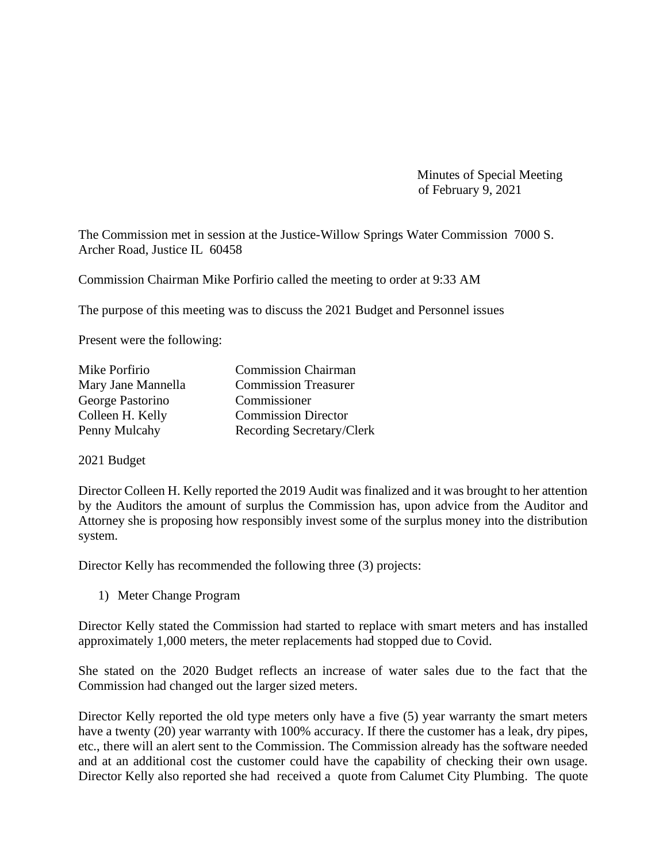Minutes of Special Meeting of February 9, 2021

The Commission met in session at the Justice-Willow Springs Water Commission 7000 S. Archer Road, Justice IL 60458

Commission Chairman Mike Porfirio called the meeting to order at 9:33 AM

The purpose of this meeting was to discuss the 2021 Budget and Personnel issues

Present were the following:

| Mike Porfirio      | <b>Commission Chairman</b>  |
|--------------------|-----------------------------|
| Mary Jane Mannella | <b>Commission Treasurer</b> |
| George Pastorino   | Commissioner                |
| Colleen H. Kelly   | <b>Commission Director</b>  |
| Penny Mulcahy      | Recording Secretary/Clerk   |

2021 Budget

Director Colleen H. Kelly reported the 2019 Audit was finalized and it was brought to her attention by the Auditors the amount of surplus the Commission has, upon advice from the Auditor and Attorney she is proposing how responsibly invest some of the surplus money into the distribution system.

Director Kelly has recommended the following three (3) projects:

1) Meter Change Program

Director Kelly stated the Commission had started to replace with smart meters and has installed approximately 1,000 meters, the meter replacements had stopped due to Covid.

She stated on the 2020 Budget reflects an increase of water sales due to the fact that the Commission had changed out the larger sized meters.

Director Kelly reported the old type meters only have a five (5) year warranty the smart meters have a twenty (20) year warranty with 100% accuracy. If there the customer has a leak, dry pipes, etc., there will an alert sent to the Commission. The Commission already has the software needed and at an additional cost the customer could have the capability of checking their own usage. Director Kelly also reported she had received a quote from Calumet City Plumbing. The quote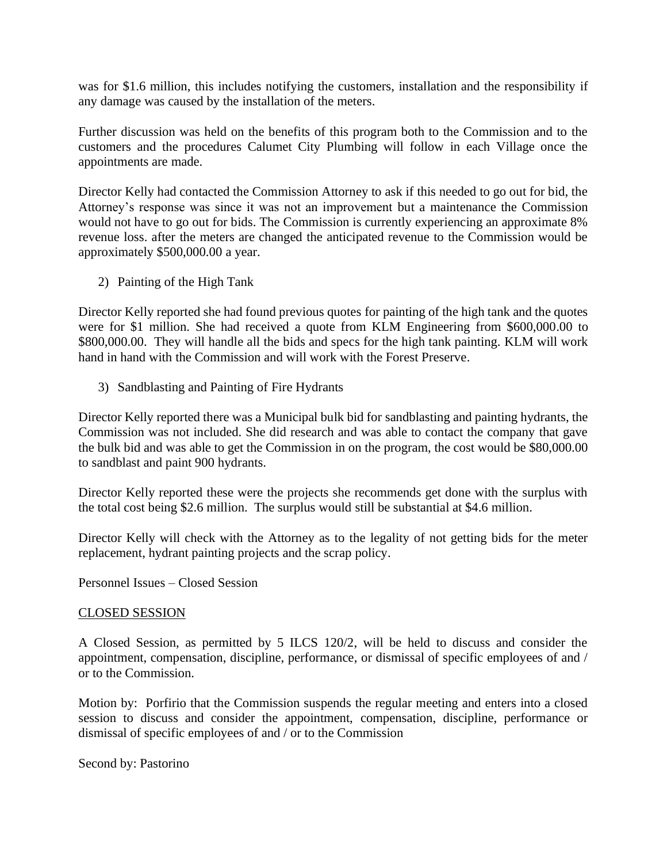was for \$1.6 million, this includes notifying the customers, installation and the responsibility if any damage was caused by the installation of the meters.

Further discussion was held on the benefits of this program both to the Commission and to the customers and the procedures Calumet City Plumbing will follow in each Village once the appointments are made.

Director Kelly had contacted the Commission Attorney to ask if this needed to go out for bid, the Attorney's response was since it was not an improvement but a maintenance the Commission would not have to go out for bids. The Commission is currently experiencing an approximate 8% revenue loss. after the meters are changed the anticipated revenue to the Commission would be approximately \$500,000.00 a year.

2) Painting of the High Tank

Director Kelly reported she had found previous quotes for painting of the high tank and the quotes were for \$1 million. She had received a quote from KLM Engineering from \$600,000.00 to \$800,000.00. They will handle all the bids and specs for the high tank painting. KLM will work hand in hand with the Commission and will work with the Forest Preserve.

3) Sandblasting and Painting of Fire Hydrants

Director Kelly reported there was a Municipal bulk bid for sandblasting and painting hydrants, the Commission was not included. She did research and was able to contact the company that gave the bulk bid and was able to get the Commission in on the program, the cost would be \$80,000.00 to sandblast and paint 900 hydrants.

Director Kelly reported these were the projects she recommends get done with the surplus with the total cost being \$2.6 million. The surplus would still be substantial at \$4.6 million.

Director Kelly will check with the Attorney as to the legality of not getting bids for the meter replacement, hydrant painting projects and the scrap policy.

Personnel Issues – Closed Session

## CLOSED SESSION

A Closed Session, as permitted by 5 ILCS 120/2, will be held to discuss and consider the appointment, compensation, discipline, performance, or dismissal of specific employees of and / or to the Commission.

Motion by: Porfirio that the Commission suspends the regular meeting and enters into a closed session to discuss and consider the appointment, compensation, discipline, performance or dismissal of specific employees of and / or to the Commission

Second by: Pastorino